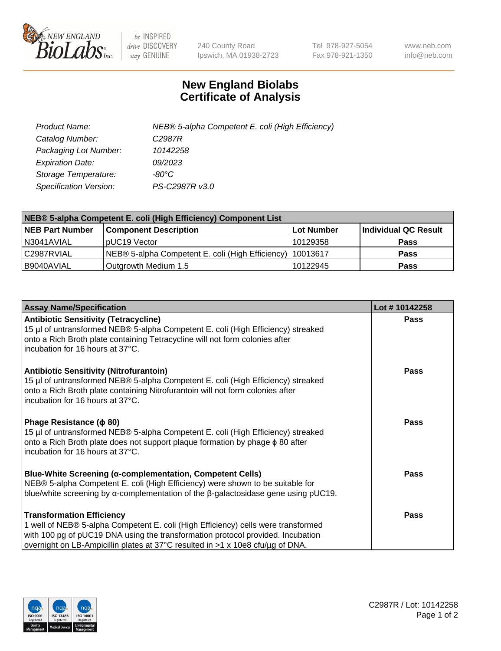

 $be$  INSPIRED drive DISCOVERY stay GENUINE

240 County Road Ipswich, MA 01938-2723 Tel 978-927-5054 Fax 978-921-1350 www.neb.com info@neb.com

## **New England Biolabs Certificate of Analysis**

| Product Name:                 | NEB® 5-alpha Competent E. coli (High Efficiency) |
|-------------------------------|--------------------------------------------------|
| Catalog Number:               | C <sub>2987</sub> R                              |
| Packaging Lot Number:         | 10142258                                         |
| <b>Expiration Date:</b>       | 09/2023                                          |
| Storage Temperature:          | -80°C                                            |
| <b>Specification Version:</b> | PS-C2987R v3.0                                   |

| NEB® 5-alpha Competent E. coli (High Efficiency) Component List |                                                             |            |                      |  |
|-----------------------------------------------------------------|-------------------------------------------------------------|------------|----------------------|--|
| <b>NEB Part Number</b>                                          | <b>Component Description</b>                                | Lot Number | Individual QC Result |  |
| N3041AVIAL                                                      | pUC19 Vector                                                | 10129358   | <b>Pass</b>          |  |
| C2987RVIAL                                                      | NEB® 5-alpha Competent E. coli (High Efficiency)   10013617 |            | <b>Pass</b>          |  |
| B9040AVIAL                                                      | Outgrowth Medium 1.5                                        | 10122945   | <b>Pass</b>          |  |

| <b>Assay Name/Specification</b>                                                                                                                                                                                                                                                            | Lot #10142258 |
|--------------------------------------------------------------------------------------------------------------------------------------------------------------------------------------------------------------------------------------------------------------------------------------------|---------------|
| <b>Antibiotic Sensitivity (Tetracycline)</b><br>15 µl of untransformed NEB® 5-alpha Competent E. coli (High Efficiency) streaked<br>onto a Rich Broth plate containing Tetracycline will not form colonies after<br>incubation for 16 hours at 37°C.                                       | <b>Pass</b>   |
| <b>Antibiotic Sensitivity (Nitrofurantoin)</b><br>15 µl of untransformed NEB® 5-alpha Competent E. coli (High Efficiency) streaked<br>onto a Rich Broth plate containing Nitrofurantoin will not form colonies after<br>Incubation for 16 hours at 37°C.                                   | Pass          |
| Phage Resistance ( $\phi$ 80)<br>15 µl of untransformed NEB® 5-alpha Competent E. coli (High Efficiency) streaked<br>onto a Rich Broth plate does not support plaque formation by phage φ 80 after<br>Incubation for 16 hours at 37°C.                                                     | <b>Pass</b>   |
| <b>Blue-White Screening (α-complementation, Competent Cells)</b><br>NEB® 5-alpha Competent E. coli (High Efficiency) were shown to be suitable for<br>blue/white screening by $\alpha$ -complementation of the $\beta$ -galactosidase gene using pUC19.                                    | Pass          |
| <b>Transformation Efficiency</b><br>1 well of NEB® 5-alpha Competent E. coli (High Efficiency) cells were transformed<br>with 100 pg of pUC19 DNA using the transformation protocol provided. Incubation<br>overnight on LB-Ampicillin plates at 37°C resulted in >1 x 10e8 cfu/μg of DNA. | Pass          |